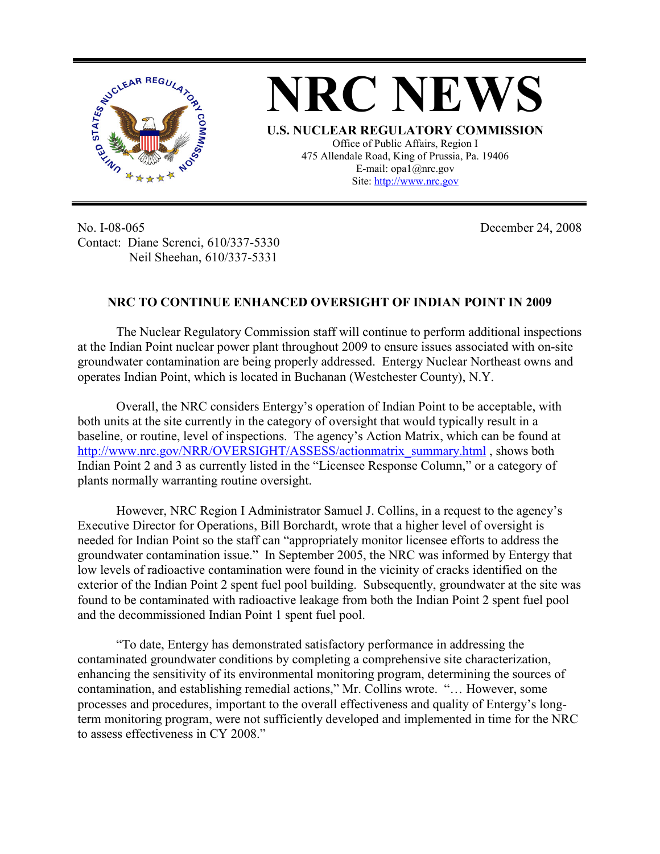



No. I-08-065 Contact: Diane Screnci, 610/337-5330 Neil Sheehan, 610/337-5331

December 24, 2008

## **NRC TO CONTINUE ENHANCED OVERSIGHT OF INDIAN POINT IN 2009**

The Nuclear Regulatory Commission staff will continue to perform additional inspections at the Indian Point nuclear power plant throughout 2009 to ensure issues associated with on-site groundwater contamination are being properly addressed. Entergy Nuclear Northeast owns and operates Indian Point, which is located in Buchanan (Westchester County), N.Y.

Overall, the NRC considers Entergy's operation of Indian Point to be acceptable, with both units at the site currently in the category of oversight that would typically result in a baseline, or routine, level of inspections. The agency's Action Matrix, which can be found at http://www.nrc.gov/NRR/OVERSIGHT/ASSESS/actionmatrix\_summary.html , shows both Indian Point 2 and 3 as currently listed in the "Licensee Response Column," or a category of plants normally warranting routine oversight.

 However, NRC Region I Administrator Samuel J. Collins, in a request to the agency's Executive Director for Operations, Bill Borchardt, wrote that a higher level of oversight is needed for Indian Point so the staff can "appropriately monitor licensee efforts to address the groundwater contamination issue." In September 2005, the NRC was informed by Entergy that low levels of radioactive contamination were found in the vicinity of cracks identified on the exterior of the Indian Point 2 spent fuel pool building. Subsequently, groundwater at the site was found to be contaminated with radioactive leakage from both the Indian Point 2 spent fuel pool and the decommissioned Indian Point 1 spent fuel pool.

"To date, Entergy has demonstrated satisfactory performance in addressing the contaminated groundwater conditions by completing a comprehensive site characterization, enhancing the sensitivity of its environmental monitoring program, determining the sources of contamination, and establishing remedial actions," Mr. Collins wrote. "… However, some processes and procedures, important to the overall effectiveness and quality of Entergy's longterm monitoring program, were not sufficiently developed and implemented in time for the NRC to assess effectiveness in CY 2008."